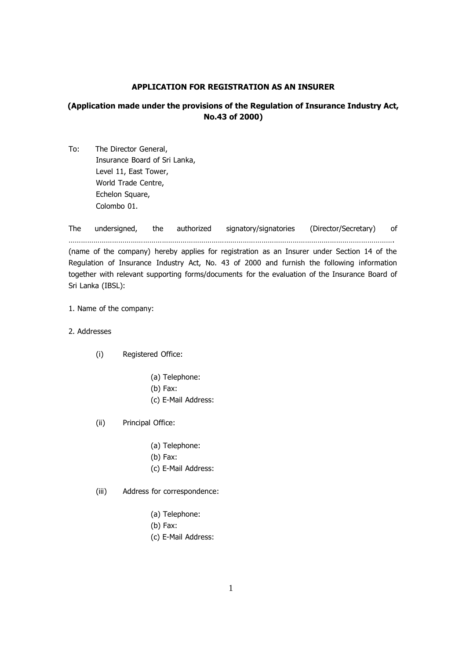### **APPLICATION FOR REGISTRATION AS AN INSURER**

# **(Application made under the provisions of the Regulation of Insurance Industry Act, No.43 of 2000)**

To: The Director General, Insurance Board of Sri Lanka, Level 11, East Tower, World Trade Centre, Echelon Square, Colombo 01.

The undersigned, the authorized signatory/signatories (Director/Secretary) of …………………………………………………………………………………………………………………………………………. (name of the company) hereby applies for registration as an Insurer under Section 14 of the

Regulation of Insurance Industry Act, No. 43 of 2000 and furnish the following information together with relevant supporting forms/documents for the evaluation of the Insurance Board of Sri Lanka (IBSL):

#### 1. Name of the company:

- 2. Addresses
	- (i) Registered Office:
		- (a) Telephone:
		- (b) Fax:
		- (c) E-Mail Address:
	- (ii) Principal Office:
		- (a) Telephone:
		- (b) Fax:
		- (c) E-Mail Address:
	- (iii) Address for correspondence:
		- (a) Telephone:
		- (b) Fax:
		- (c) E-Mail Address: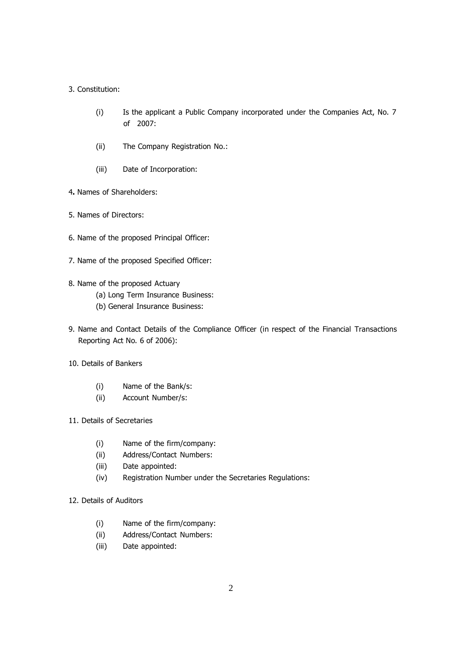## 3. Constitution:

- (i) Is the applicant a Public Company incorporated under the Companies Act, No. 7 of 2007:
- (ii) The Company Registration No.:
- (iii) Date of Incorporation:
- 4**.** Names of Shareholders:
- 5. Names of Directors:
- 6. Name of the proposed Principal Officer:
- 7. Name of the proposed Specified Officer:
- 8. Name of the proposed Actuary
	- (a) Long Term Insurance Business:
	- (b) General Insurance Business:
- 9. Name and Contact Details of the Compliance Officer (in respect of the Financial Transactions Reporting Act No. 6 of 2006):
- 10. Details of Bankers
	- (i) Name of the Bank/s:
	- (ii) Account Number/s:
- 11. Details of Secretaries
	- (i) Name of the firm/company:
	- (ii) Address/Contact Numbers:
	- (iii) Date appointed:
	- (iv) Registration Number under the Secretaries Regulations:
- 12. Details of Auditors
	- (i) Name of the firm/company:
	- (ii) Address/Contact Numbers:
	- (iii) Date appointed: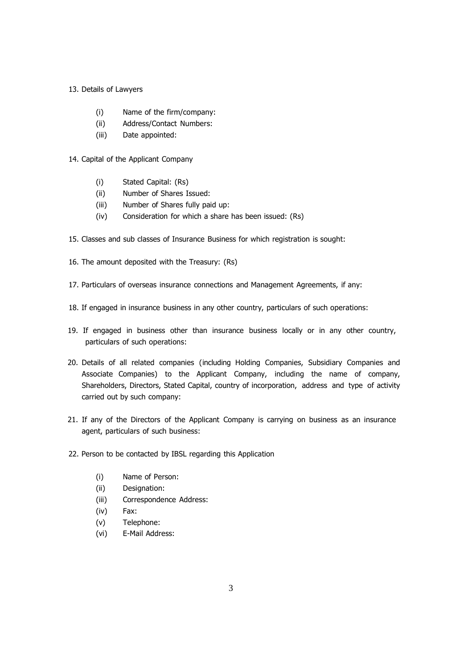### 13. Details of Lawyers

- (i) Name of the firm/company:
- (ii) Address/Contact Numbers:
- (iii) Date appointed:
- 14. Capital of the Applicant Company
	- (i) Stated Capital: (Rs)
	- (ii) Number of Shares Issued:
	- (iii) Number of Shares fully paid up:
	- (iv) Consideration for which a share has been issued: (Rs)
- 15. Classes and sub classes of Insurance Business for which registration is sought:
- 16. The amount deposited with the Treasury: (Rs)
- 17. Particulars of overseas insurance connections and Management Agreements, if any:
- 18. If engaged in insurance business in any other country, particulars of such operations:
- 19. If engaged in business other than insurance business locally or in any other country, particulars of such operations:
- 20. Details of all related companies (including Holding Companies, Subsidiary Companies and Associate Companies) to the Applicant Company, including the name of company, Shareholders, Directors, Stated Capital, country of incorporation, address and type of activity carried out by such company:
- 21. If any of the Directors of the Applicant Company is carrying on business as an insurance agent, particulars of such business:
- 22. Person to be contacted by IBSL regarding this Application
	- (i) Name of Person:
	- (ii) Designation:
	- (iii) Correspondence Address:
	- (iv) Fax:
	- (v) Telephone:
	- (vi) E-Mail Address: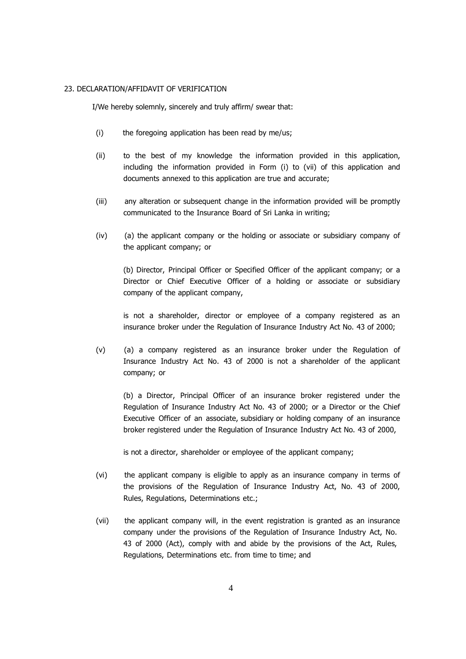#### 23. DECLARATION/AFFIDAVIT OF VERIFICATION

I/We hereby solemnly, sincerely and truly affirm/ swear that:

- (i) the foregoing application has been read by me/us;
- (ii) to the best of my knowledge the information provided in this application, including the information provided in Form (i) to (vii) of this application and documents annexed to this application are true and accurate;
- (iii) any alteration or subsequent change in the information provided will be promptly communicated to the Insurance Board of Sri Lanka in writing;
- $(iv)$  (a) the applicant company or the holding or associate or subsidiary company of the applicant company; or

(b) Director, Principal Officer or Specified Officer of the applicant company; or a Director or Chief Executive Officer of a holding or associate or subsidiary company of the applicant company,

is not a shareholder, director or employee of a company registered as an insurance broker under the Regulation of Insurance Industry Act No. 43 of 2000;

(v) (a) a company registered as an insurance broker under the Regulation of Insurance Industry Act No. 43 of 2000 is not a shareholder of the applicant company; or

(b) a Director, Principal Officer of an insurance broker registered under the Regulation of Insurance Industry Act No. 43 of 2000; or a Director or the Chief Executive Officer of an associate, subsidiary or holding company of an insurance broker registered under the Regulation of Insurance Industry Act No. 43 of 2000,

is not a director, shareholder or employee of the applicant company;

- (vi) the applicant company is eligible to apply as an insurance company in terms of the provisions of the Regulation of Insurance Industry Act, No. 43 of 2000, Rules, Regulations, Determinations etc.;
- (vii) the applicant company will, in the event registration is granted as an insurance company under the provisions of the Regulation of Insurance Industry Act, No. 43 of 2000 (Act), comply with and abide by the provisions of the Act, Rules, Regulations, Determinations etc. from time to time; and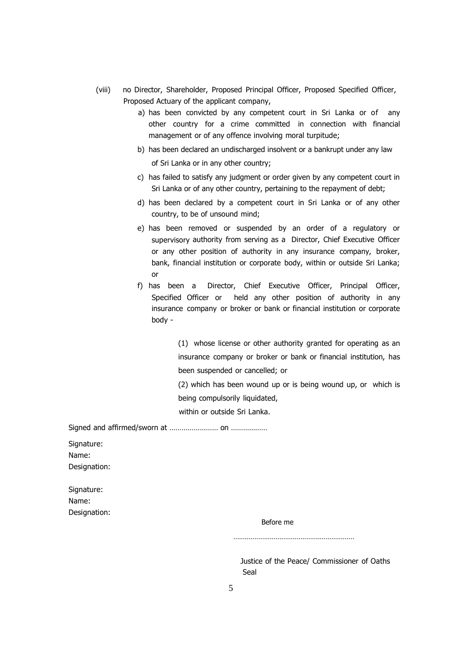- (viii) no Director, Shareholder, Proposed Principal Officer, Proposed Specified Officer, Proposed Actuary of the applicant company,
	- a) has been convicted by any competent court in Sri Lanka or of any other country for a crime committed in connection with financial management or of any offence involving moral turpitude;
	- b) has been declared an undischarged insolvent or a bankrupt under any law

of Sri Lanka or in any other country;

- c) has failed to satisfy any judgment or order given by any competent court in Sri Lanka or of any other country, pertaining to the repayment of debt;
- d) has been declared by a competent court in Sri Lanka or of any other country, to be of unsound mind;
- e) has been removed or suspended by an order of a regulatory or supervisory authority from serving as a Director, Chief Executive Officer or any other position of authority in any insurance company, broker, bank, financial institution or corporate body, within or outside Sri Lanka; or
- f) has been a Director, Chief Executive Officer, Principal Officer, Specified Officer or held any other position of authority in any insurance company or broker or bank or financial institution or corporate body -

(1) whose license or other authority granted for operating as an insurance company or broker or bank or financial institution, has been suspended or cancelled; or

(2) which has been wound up or is being wound up, or which is being compulsorily liquidated,

within or outside Sri Lanka.

Signed and affirmed/sworn at …………………… on ………………

Signature: Name: Designation:

| Signature:   |
|--------------|
| Name:        |
| Designation: |

Before me

………………………………………………………

Justice of the Peace/ Commissioner of Oaths Seal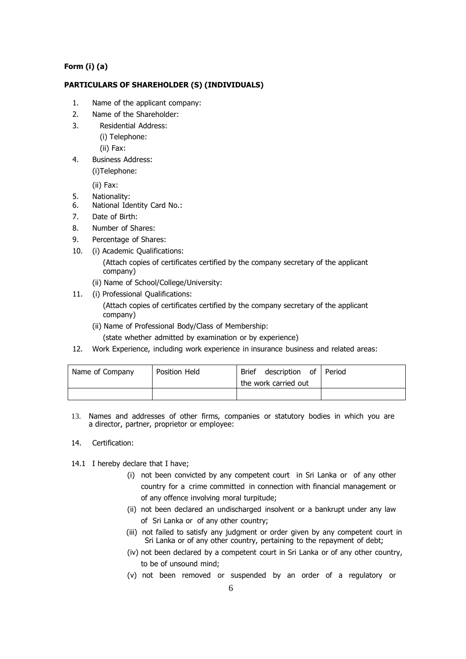# **Form (i) (a)**

## **PARTICULARS OF SHAREHOLDER (S) (INDIVIDUALS)**

- 1. Name of the applicant company:
- 2. Name of the Shareholder:
- 3. Residential Address:
	- (i) Telephone:
	- (ii) Fax:
- 4. Business Address: (i)Telephone:

(ii) Fax:

- 5. Nationality:
- 6. National Identity Card No.:
- 7. Date of Birth:
- 8. Number of Shares:
- 9. Percentage of Shares:
- 10. (i) Academic Qualifications:

 (Attach copies of certificates certified by the company secretary of the applicant company)

- (ii) Name of School/College/University:
- 11. (i) Professional Qualifications:

 (Attach copies of certificates certified by the company secretary of the applicant company)

- (ii) Name of Professional Body/Class of Membership:
- (state whether admitted by examination or by experience)
- 12. Work Experience, including work experience in insurance business and related areas:

| Name of Company | Position Held | description of<br><b>Brief</b><br>l Period |  |
|-----------------|---------------|--------------------------------------------|--|
|                 |               | the work carried out                       |  |
|                 |               |                                            |  |

13. Names and addresses of other firms, companies or statutory bodies in which you are a director, partner, proprietor or employee:

#### 14. Certification:

14.1 I hereby declare that I have;

- (i) not been convicted by any competent court in Sri Lanka or of any other country for a crime committed in connection with financial management or of any offence involving moral turpitude;
- (ii) not been declared an undischarged insolvent or a bankrupt under any law of Sri Lanka or of any other country;
- (iii) not failed to satisfy any judgment or order given by any competent court in Sri Lanka or of any other country, pertaining to the repayment of debt;
- (iv) not been declared by a competent court in Sri Lanka or of any other country, to be of unsound mind;
- (v) not been removed or suspended by an order of a regulatory or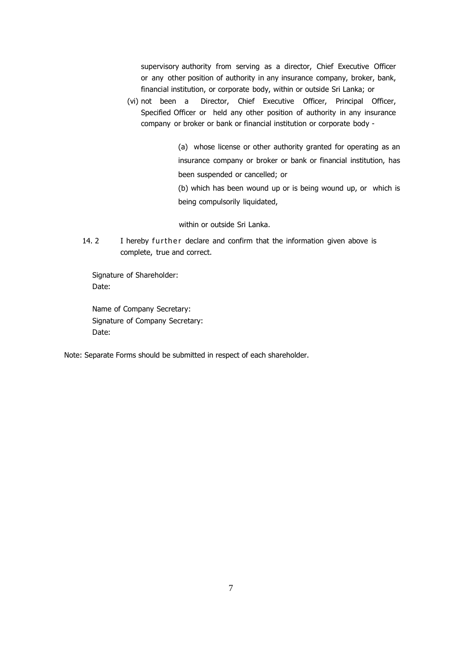supervisory authority from serving as a director, Chief Executive Officer or any other position of authority in any insurance company, broker, bank, financial institution, or corporate body, within or outside Sri Lanka; or

(vi) not been a Director, Chief Executive Officer, Principal Officer, Specified Officer or held any other position of authority in any insurance company or broker or bank or financial institution or corporate body -

> (a) whose license or other authority granted for operating as an insurance company or broker or bank or financial institution, has been suspended or cancelled; or

> (b) which has been wound up or is being wound up, or which is being compulsorily liquidated,

within or outside Sri Lanka.

14. 2 I hereby further declare and confirm that the information given above is complete, true and correct.

 Signature of Shareholder: Date:

 Name of Company Secretary: Signature of Company Secretary: Date:

Note: Separate Forms should be submitted in respect of each shareholder.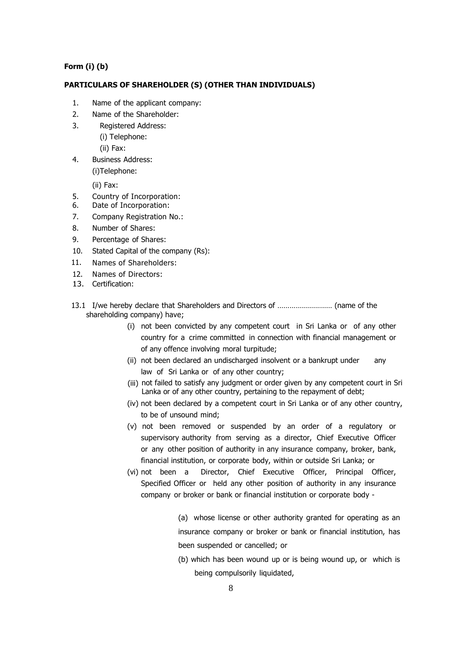## **Form (i) (b)**

#### **PARTICULARS OF SHAREHOLDER (S) (OTHER THAN INDIVIDUALS)**

- 1. Name of the applicant company:
- 2. Name of the Shareholder:
- 3. Registered Address:
	- (i) Telephone:
		- (ii) Fax:
- 4. Business Address: (i)Telephone:

(ii) Fax:

- 5. Country of Incorporation:
- 6. Date of Incorporation:
- 7. Company Registration No.:
- 8. Number of Shares:
- 9. Percentage of Shares:
- 10. Stated Capital of the company (Rs):
- 11. Names of Shareholders:
- 12. Names of Directors:
- 13. Certification:
- 13.1 I/we hereby declare that Shareholders and Directors of ……………………… (name of the shareholding company) have;
	- (i) not been convicted by any competent court in Sri Lanka or of any other country for a crime committed in connection with financial management or of any offence involving moral turpitude;
	- (ii) not been declared an undischarged insolvent or a bankrupt under any law of Sri Lanka or of any other country;
	- (iii) not failed to satisfy any judgment or order given by any competent court in Sri Lanka or of any other country, pertaining to the repayment of debt;
	- (iv) not been declared by a competent court in Sri Lanka or of any other country, to be of unsound mind;
	- (v) not been removed or suspended by an order of a regulatory or supervisory authority from serving as a director, Chief Executive Officer or any other position of authority in any insurance company, broker, bank, financial institution, or corporate body, within or outside Sri Lanka; or
	- (vi) not been a Director, Chief Executive Officer, Principal Officer, Specified Officer or held any other position of authority in any insurance company or broker or bank or financial institution or corporate body -

(a) whose license or other authority granted for operating as an insurance company or broker or bank or financial institution, has been suspended or cancelled; or

(b) which has been wound up or is being wound up, or which is being compulsorily liquidated,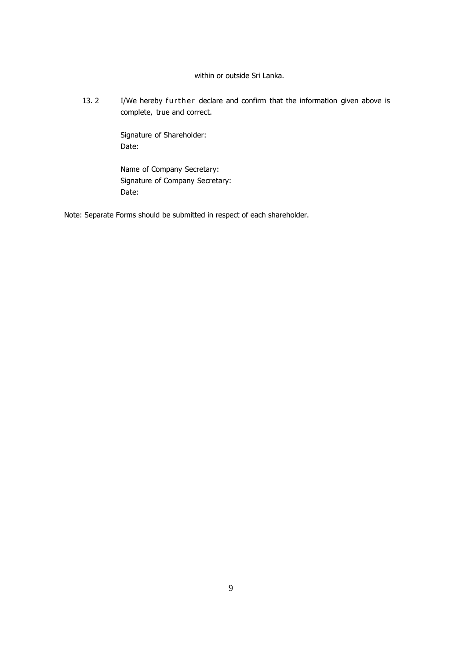# within or outside Sri Lanka.

13. 2 I/We hereby further declare and confirm that the information given above is complete, true and correct.

> Signature of Shareholder: Date:

Name of Company Secretary: Signature of Company Secretary: Date:

Note: Separate Forms should be submitted in respect of each shareholder.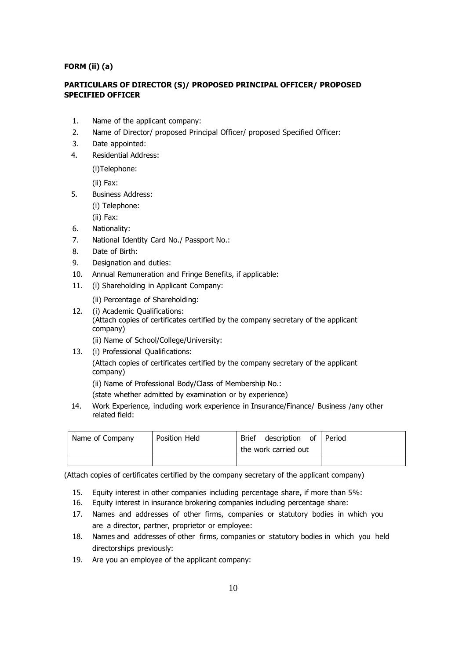## **FORM (ii) (a)**

# **PARTICULARS OF DIRECTOR (S)/ PROPOSED PRINCIPAL OFFICER/ PROPOSED SPECIFIED OFFICER**

- 1. Name of the applicant company:
- 2. Name of Director/ proposed Principal Officer/ proposed Specified Officer:
- 3. Date appointed:
- 4. Residential Address:

(i)Telephone:

(ii) Fax:

- 5. Business Address:
	- (i) Telephone:
	- (ii) Fax:
- 6. Nationality:
- 7. National Identity Card No./ Passport No.:
- 8. Date of Birth:
- 9. Designation and duties:
- 10. Annual Remuneration and Fringe Benefits, if applicable:
- 11. (i) Shareholding in Applicant Company:
	- (ii) Percentage of Shareholding:
- 12. (i) Academic Qualifications:

 (Attach copies of certificates certified by the company secretary of the applicant company)

(ii) Name of School/College/University:

13. (i) Professional Qualifications:

 (Attach copies of certificates certified by the company secretary of the applicant company)

(ii) Name of Professional Body/Class of Membership No.:

(state whether admitted by examination or by experience)

 14. Work Experience, including work experience in Insurance/Finance/ Business /any other related field:

| Name of Company | Position Held | description of Period<br><b>Brief</b> |  |
|-----------------|---------------|---------------------------------------|--|
|                 |               | the work carried out                  |  |
|                 |               |                                       |  |

(Attach copies of certificates certified by the company secretary of the applicant company)

- 15. Equity interest in other companies including percentage share, if more than 5%:
- 16. Equity interest in insurance brokering companies including percentage share:
- 17. Names and addresses of other firms, companies or statutory bodies in which you are a director, partner, proprietor or employee:
- 18. Names and addresses of other firms, companies or statutory bodies in which you held directorships previously:
- 19. Are you an employee of the applicant company: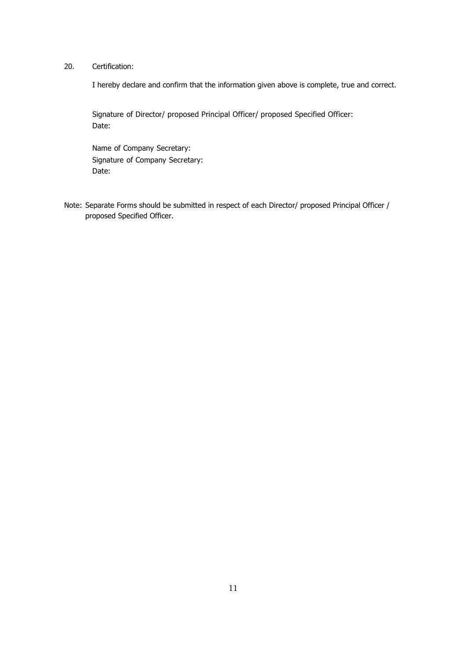# 20. Certification:

I hereby declare and confirm that the information given above is complete, true and correct.

 Signature of Director/ proposed Principal Officer/ proposed Specified Officer: Date:

 Name of Company Secretary: Signature of Company Secretary: Date:

Note: Separate Forms should be submitted in respect of each Director/ proposed Principal Officer / proposed Specified Officer.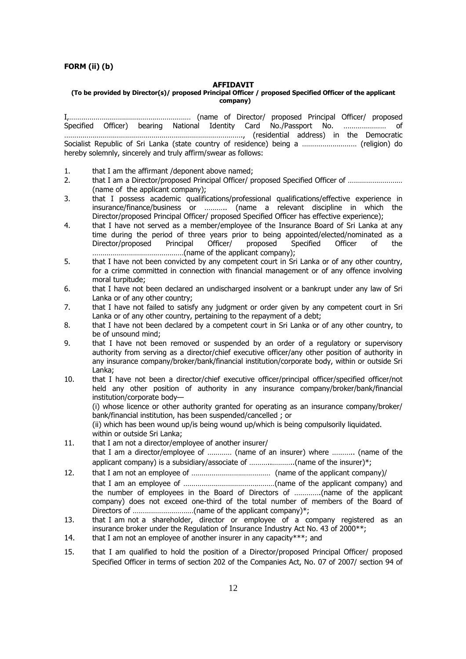#### **FORM (ii) (b)**

#### **AFFIDAVIT**

#### **(To be provided by Director(s)/ proposed Principal Officer / proposed Specified Officer of the applicant company)**

I,…………………………………………………… (name of Director/ proposed Principal Officer/ proposed Specified Officer) bearing National Identity Card No./Passport No. ………………… of ……………………………………………………………………………., (residential address) in the Democratic Socialist Republic of Sri Lanka (state country of residence) being a ……………………… (religion) do hereby solemnly, sincerely and truly affirm/swear as follows:

- 1. that I am the affirmant /deponent above named;
- 2. that I am a Director/proposed Principal Officer/ proposed Specified Officer of ……………………… (name of the applicant company);
- 3. that I possess academic qualifications/professional qualifications/effective experience in insurance/finance/business or ……….. (name a relevant discipline in which the Director/proposed Principal Officer/ proposed Specified Officer has effective experience);
- 4. that I have not served as a member/employee of the Insurance Board of Sri Lanka at any time during the period of three years prior to being appointed/elected/nominated as a Director/proposed Principal Officer/ proposed Specified Officer of the ………………………………………(name of the applicant company);
- 5. that I have not been convicted by any competent court in Sri Lanka or of any other country, for a crime committed in connection with financial management or of any offence involving moral turpitude;
- 6. that I have not been declared an undischarged insolvent or a bankrupt under any law of Sri Lanka or of any other country;
- 7. that I have not failed to satisfy any judgment or order given by any competent court in Sri Lanka or of any other country, pertaining to the repayment of a debt;
- 8. that I have not been declared by a competent court in Sri Lanka or of any other country, to be of unsound mind;
- 9. that I have not been removed or suspended by an order of a regulatory or supervisory authority from serving as a director/chief executive officer/any other position of authority in any insurance company/broker/bank/financial institution/corporate body, within or outside Sri Lanka;
- 10. that I have not been a director/chief executive officer/principal officer/specified officer/not held any other position of authority in any insurance company/broker/bank/financial institution/corporate body— (i) whose licence or other authority granted for operating as an insurance company/broker/ bank/financial institution, has been suspended/cancelled ; or

(ii) which has been wound up/is being wound up/which is being compulsorily liquidated. within or outside Sri Lanka;

- 11. that I am not a director/employee of another insurer/ that I am a director/employee of ………… (name of an insurer) where ……….. (name of the applicant company) is a subsidiary/associate of .......................(name of the insurer)\*;
- 12. that I am not an employee of ………………………………… (name of the applicant company)/ that I am an employee of ………………………………………(name of the applicant company) and the number of employees in the Board of Directors of ………….(name of the applicant company) does not exceed one-third of the total number of members of the Board of Directors of …………………………(name of the applicant company)\*;
- 13. that I am not a shareholder, director or employee of a company registered as an insurance broker under the Regulation of Insurance Industry Act No. 43 of 2000\*\*;
- 14. that I am not an employee of another insurer in any capacity  $**$ ; and
- 15. that I am qualified to hold the position of a Director/proposed Principal Officer/ proposed Specified Officer in terms of section 202 of the Companies Act, No. 07 of 2007/ section 94 of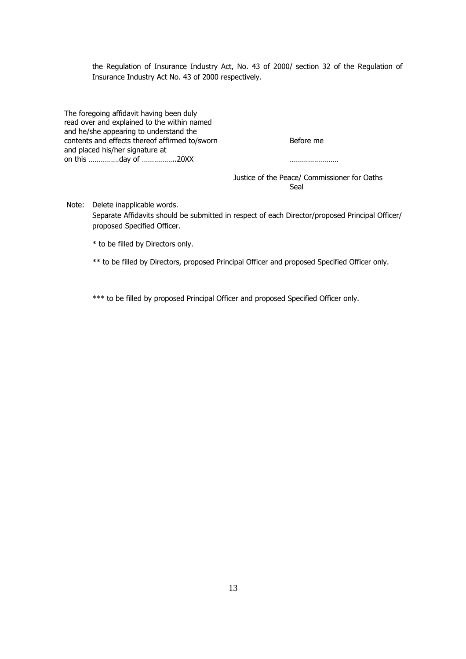the Regulation of Insurance Industry Act, No. 43 of 2000/ section 32 of the Regulation of Insurance Industry Act No. 43 of 2000 respectively.

The foregoing affidavit having been duly read over and explained to the within named and he/she appearing to understand the contents and effects thereof affirmed to/sworn Before me and placed his/her signature at on this ……………day of ……………..20XX ……………………

 Justice of the Peace/ Commissioner for Oaths in the contract of the contract of the contract of the Seal Seal of the Seal of the Seal of the Seal

 Note: Delete inapplicable words. Separate Affidavits should be submitted in respect of each Director/proposed Principal Officer/ proposed Specified Officer.

\* to be filled by Directors only.

\*\* to be filled by Directors, proposed Principal Officer and proposed Specified Officer only.

\*\*\* to be filled by proposed Principal Officer and proposed Specified Officer only.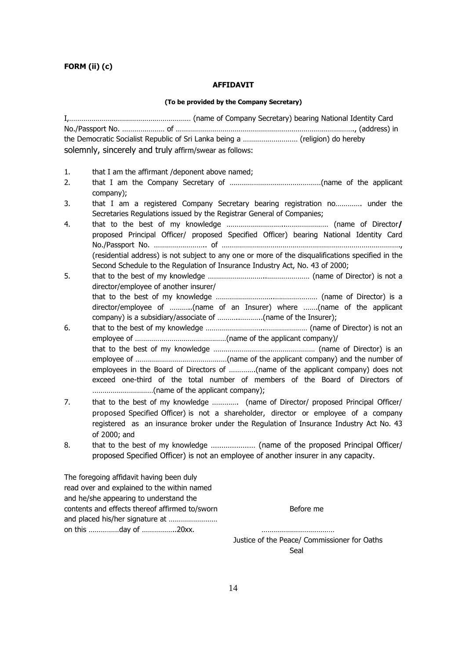# **FORM (ii) (c)**

#### **AFFIDAVIT**

#### **(To be provided by the Company Secretary)**

I,…………………………………………………… (name of Company Secretary) bearing National Identity Card No./Passport No. ………………… of ……………………………………………………………………………., (address) in the Democratic Socialist Republic of Sri Lanka being a ……………………… (religion) do hereby solemnly, sincerely and truly affirm/swear as follows: 1. that I am the affirmant /deponent above named; 2. that I am the Company Secretary of ………………………………………(name of the applicant company); 3. that I am a registered Company Secretary bearing registration no…………. under the Secretaries Regulations issued by the Registrar General of Companies; 4. that to the best of my knowledge ………………………..………………… (name of Director**/**  proposed Principal Officer/ proposed Specified Officer) bearing National Identity Card No./Passport No. …………………….. of ……………………………………………………………………………., (residential address) is not subject to any one or more of the disqualifications specified in the Second Schedule to the Regulation of Insurance Industry Act, No. 43 of 2000; 5. that to the best of my knowledge ………………………..………………… (name of Director) is not a director/employee of another insurer/ that to the best of my knowledge ………………………..………………… (name of Director) is a director/employee of ………..(name of an Insurer) where …….(name of the applicant company) is a subsidiary/associate of ………..………..(name of the Insurer); 6. that to the best of my knowledge ………………………..………………… (name of Director) is not an employee of ………………………………………(name of the applicant company)/ that to the best of my knowledge ………………………..………………… (name of Director) is an employee of ………………………………………(name of the applicant company) and the number of employees in the Board of Directors of ………….(name of the applicant company) does not exceed one-third of the total number of members of the Board of Directors of …………………………(name of the applicant company); 7. that to the best of my knowledge …………. (name of Director/ proposed Principal Officer/ proposed Specified Officer) is not a shareholder, director or employee of a company registered as an insurance broker under the Regulation of Insurance Industry Act No. 43 of 2000; and

8. that to the best of my knowledge ………………… (name of the proposed Principal Officer/ proposed Specified Officer) is not an employee of another insurer in any capacity.

The foregoing affidavit having been duly read over and explained to the within named and he/she appearing to understand the contents and effects thereof affirmed to/sworn Before me and placed his/her signature at …………………… on this ……………day of ……………..20xx. ………………………………

 Justice of the Peace/ Commissioner for Oaths ing the contract of the contract of the contract of the Seal Seal of the Seal of the Seal of the Seal of the Seal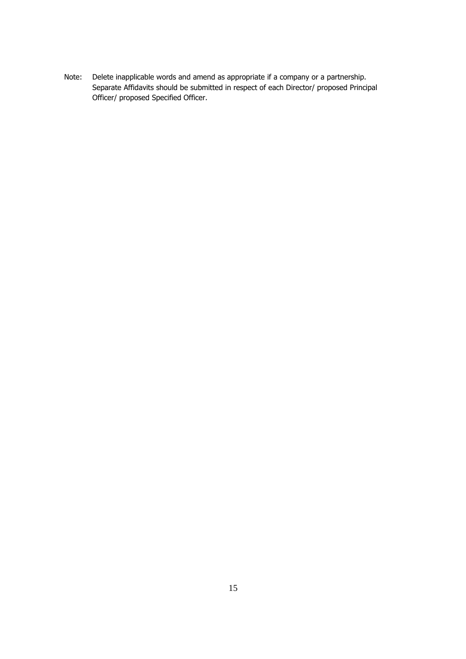Note: Delete inapplicable words and amend as appropriate if a company or a partnership. Separate Affidavits should be submitted in respect of each Director/ proposed Principal Officer/ proposed Specified Officer.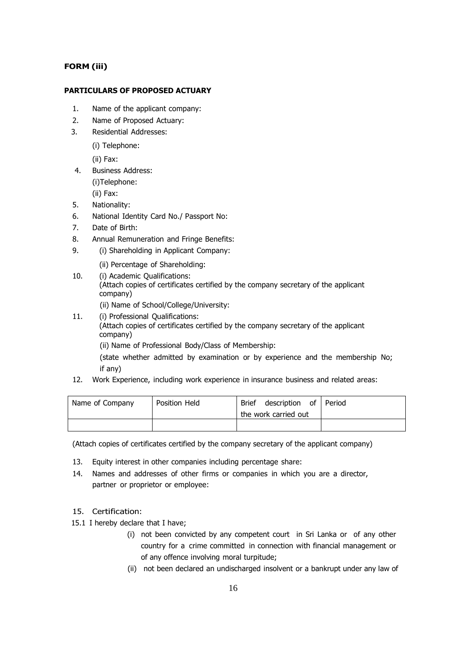# **FORM (iii)**

### **PARTICULARS OF PROPOSED ACTUARY**

- 1. Name of the applicant company:
- 2. Name of Proposed Actuary:
- 3. Residential Addresses:
	- (i) Telephone:

(ii) Fax:

4. Business Address: (i)Telephone:

(ii) Fax:

- 5. Nationality:
- 6. National Identity Card No./ Passport No:
- 7. Date of Birth:
- 8. Annual Remuneration and Fringe Benefits:
- 9. (i) Shareholding in Applicant Company:
	- (ii) Percentage of Shareholding:
- 10. (i) Academic Qualifications: (Attach copies of certificates certified by the company secretary of the applicant company) (ii) Name of School/College/University:
- 11. (i) Professional Qualifications:
	- (Attach copies of certificates certified by the company secretary of the applicant company)

(ii) Name of Professional Body/Class of Membership:

(state whether admitted by examination or by experience and the membership No; if any)

12. Work Experience, including work experience in insurance business and related areas:

| Name of Company | Position Held | description of Period<br>Brief |  |
|-----------------|---------------|--------------------------------|--|
|                 |               | the work carried out           |  |
|                 |               |                                |  |

(Attach copies of certificates certified by the company secretary of the applicant company)

- 13. Equity interest in other companies including percentage share:
- 14. Names and addresses of other firms or companies in which you are a director, partner or proprietor or employee:

#### 15. Certification:

- 15.1 I hereby declare that I have;
	- (i) not been convicted by any competent court in Sri Lanka or of any other country for a crime committed in connection with financial management or of any offence involving moral turpitude;
	- (ii) not been declared an undischarged insolvent or a bankrupt under any law of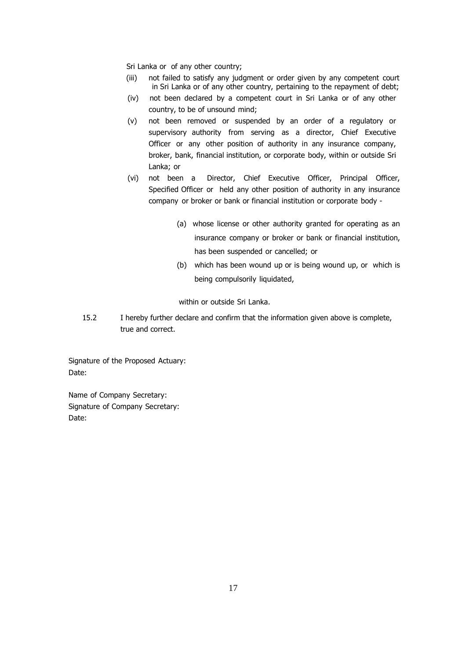Sri Lanka or of any other country;

- (iii) not failed to satisfy any judgment or order given by any competent court in Sri Lanka or of any other country, pertaining to the repayment of debt;
- (iv) not been declared by a competent court in Sri Lanka or of any other country, to be of unsound mind;
- (v) not been removed or suspended by an order of a regulatory or supervisory authority from serving as a director, Chief Executive Officer or any other position of authority in any insurance company, broker, bank, financial institution, or corporate body, within or outside Sri Lanka; or
- (vi) not been a Director, Chief Executive Officer, Principal Officer, Specified Officer or held any other position of authority in any insurance company or broker or bank or financial institution or corporate body -
	- (a) whose license or other authority granted for operating as an insurance company or broker or bank or financial institution, has been suspended or cancelled; or
	- (b) which has been wound up or is being wound up, or which is being compulsorily liquidated,

within or outside Sri Lanka.

15.2 I hereby further declare and confirm that the information given above is complete, true and correct.

Signature of the Proposed Actuary: Date:

Name of Company Secretary: Signature of Company Secretary: Date: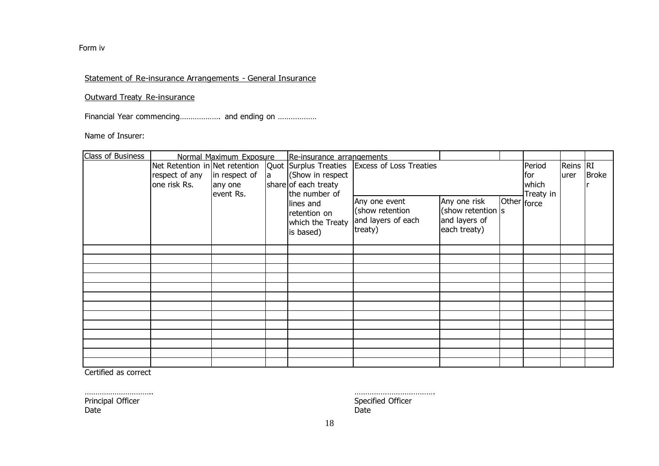Form iv

# Statement of Re-insurance Arrangements - General Insurance

Outward Treaty Re-insurance

Financial Year commencing………………… and ending on …………………

Name of Insurer:

| Class of Business |                                                                                                                      | Normal Maximum Exposure |  | Re-insurance arrangements                                  |                                                                   |                                                                    |  |                                      |                  |              |
|-------------------|----------------------------------------------------------------------------------------------------------------------|-------------------------|--|------------------------------------------------------------|-------------------------------------------------------------------|--------------------------------------------------------------------|--|--------------------------------------|------------------|--------------|
|                   | Net Retention in Net retention<br>respect of any $\vert$ in respect of<br>la<br>one risk Rs.<br>any one<br>event Rs. |                         |  | (Show in respect<br>share of each treaty<br>the number of  | Quot Surplus Treaties   Excess of Loss Treaties                   |                                                                    |  | Period<br>lfor<br>which<br>Treaty in | Reins RI<br>urer | <b>Broke</b> |
|                   |                                                                                                                      |                         |  | lines and<br>retention on<br>which the Treaty<br>is based) | Any one event<br>(show retention<br>and layers of each<br>treaty) | Any one risk<br>(show retention s<br>and layers of<br>each treaty) |  | Other <sub>force</sub>               |                  |              |
|                   |                                                                                                                      |                         |  |                                                            |                                                                   |                                                                    |  |                                      |                  |              |
|                   |                                                                                                                      |                         |  |                                                            |                                                                   |                                                                    |  |                                      |                  |              |
|                   |                                                                                                                      |                         |  |                                                            |                                                                   |                                                                    |  |                                      |                  |              |
|                   |                                                                                                                      |                         |  |                                                            |                                                                   |                                                                    |  |                                      |                  |              |
|                   |                                                                                                                      |                         |  |                                                            |                                                                   |                                                                    |  |                                      |                  |              |
|                   |                                                                                                                      |                         |  |                                                            |                                                                   |                                                                    |  |                                      |                  |              |
|                   |                                                                                                                      |                         |  |                                                            |                                                                   |                                                                    |  |                                      |                  |              |
|                   |                                                                                                                      |                         |  |                                                            |                                                                   |                                                                    |  |                                      |                  |              |
|                   |                                                                                                                      |                         |  |                                                            |                                                                   |                                                                    |  |                                      |                  |              |
|                   |                                                                                                                      |                         |  |                                                            |                                                                   |                                                                    |  |                                      |                  |              |
|                   |                                                                                                                      |                         |  |                                                            |                                                                   |                                                                    |  |                                      |                  |              |
|                   |                                                                                                                      |                         |  |                                                            |                                                                   |                                                                    |  |                                      |                  |              |

Certified as correct

Date Date

………………………….. ………………………………. Principal Officer Specified Officer Specified Officer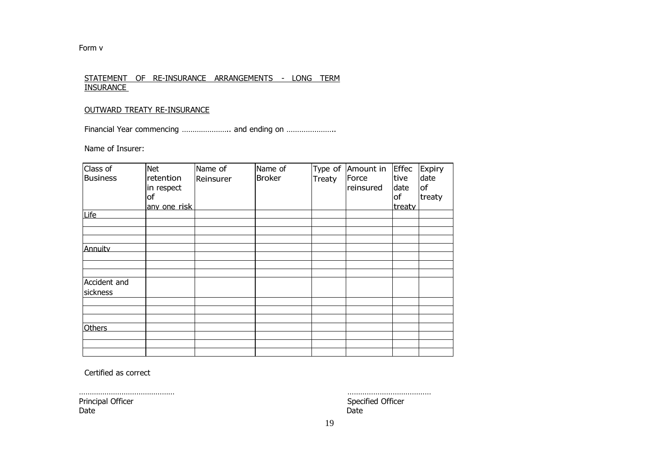Form v

## STATEMENT OF RE-INSURANCE ARRANGEMENTS - LONG TERM **INSURANCE**

# OUTWARD TREATY RE-INSURANCE

Financial Year commencing ……………………… and ending on ……………………

Name of Insurer:

| Class of<br><b>Business</b> | <b>Net</b><br>retention<br>in respect<br>lof | Name of<br>Reinsurer | Name of<br><b>Broker</b> | Treaty | Type of Amount in<br>Force<br>reinsured | <b>Effec</b><br>tive<br>date<br>of | Expiry<br>date<br><b>of</b><br>treaty |
|-----------------------------|----------------------------------------------|----------------------|--------------------------|--------|-----------------------------------------|------------------------------------|---------------------------------------|
|                             | any one risk                                 |                      |                          |        |                                         | treaty                             |                                       |
| Life                        |                                              |                      |                          |        |                                         |                                    |                                       |
|                             |                                              |                      |                          |        |                                         |                                    |                                       |
|                             |                                              |                      |                          |        |                                         |                                    |                                       |
| Annuity                     |                                              |                      |                          |        |                                         |                                    |                                       |
|                             |                                              |                      |                          |        |                                         |                                    |                                       |
|                             |                                              |                      |                          |        |                                         |                                    |                                       |
|                             |                                              |                      |                          |        |                                         |                                    |                                       |
| Accident and                |                                              |                      |                          |        |                                         |                                    |                                       |
| sickness                    |                                              |                      |                          |        |                                         |                                    |                                       |
|                             |                                              |                      |                          |        |                                         |                                    |                                       |
|                             |                                              |                      |                          |        |                                         |                                    |                                       |
|                             |                                              |                      |                          |        |                                         |                                    |                                       |
| <b>Others</b>               |                                              |                      |                          |        |                                         |                                    |                                       |
|                             |                                              |                      |                          |        |                                         |                                    |                                       |
|                             |                                              |                      |                          |        |                                         |                                    |                                       |

Certified as correct

Date Date

……………………………………… ………………………………… Principal Officer Specified Officer Specified Officer Specified Officer Specified Officer Specified Officer Specified Officer Specified Officer Specified Officer Specified Officer Specified Officer Specified Officer Specif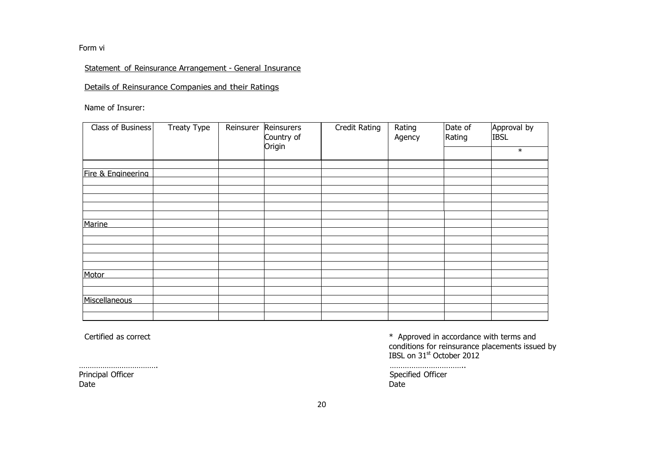Form vi

# Statement of Reinsurance Arrangement - General Insurance

Details of Reinsurance Companies and their Ratings

Name of Insurer:

| Class of Business  | Treaty Type<br>Reinsurer<br>Reinsurers<br>Country of |  | Credit Rating | Rating<br>Agency | Date of<br>Rating | Approval by<br><b>IBSL</b> |        |
|--------------------|------------------------------------------------------|--|---------------|------------------|-------------------|----------------------------|--------|
|                    |                                                      |  | Origin        |                  |                   |                            | $\ast$ |
|                    |                                                      |  |               |                  |                   |                            |        |
| Fire & Engineering |                                                      |  |               |                  |                   |                            |        |
|                    |                                                      |  |               |                  |                   |                            |        |
|                    |                                                      |  |               |                  |                   |                            |        |
|                    |                                                      |  |               |                  |                   |                            |        |
|                    |                                                      |  |               |                  |                   |                            |        |
| Marine             |                                                      |  |               |                  |                   |                            |        |
|                    |                                                      |  |               |                  |                   |                            |        |
|                    |                                                      |  |               |                  |                   |                            |        |
|                    |                                                      |  |               |                  |                   |                            |        |
|                    |                                                      |  |               |                  |                   |                            |        |
| Motor              |                                                      |  |               |                  |                   |                            |        |
|                    |                                                      |  |               |                  |                   |                            |        |
|                    |                                                      |  |               |                  |                   |                            |        |
| Miscellaneous      |                                                      |  |               |                  |                   |                            |        |
|                    |                                                      |  |               |                  |                   |                            |        |
|                    |                                                      |  |               |                  |                   |                            |        |

Principal Officer Specified Officer Specified Officer Date Date

Certified as correct and the conditions for reinsurance with terms and terms and terms and terms and conditions for reinsurance placements issued by  $\text{IBSL}$  on  $31^\text{st}$  October 2012

………………………………. ……………………………..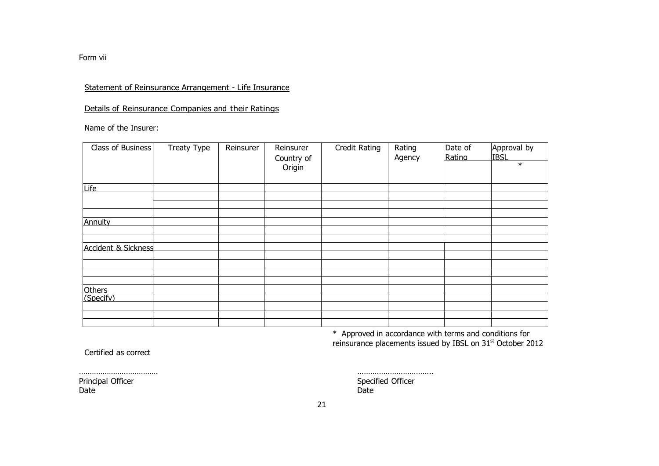Form vii

# Statement of Reinsurance Arrangement - Life Insurance

# Details of Reinsurance Companies and their Ratings

Name of the Insurer:

| Class of Business              | Treaty Type | Reinsurer | Reinsurer<br>Country of | Credit Rating | Rating<br>Agency | Date of<br>Rating | Approval by<br><b>IBSL</b><br>$\ast$ |
|--------------------------------|-------------|-----------|-------------------------|---------------|------------------|-------------------|--------------------------------------|
|                                |             |           | Origin                  |               |                  |                   |                                      |
| Life                           |             |           |                         |               |                  |                   |                                      |
|                                |             |           |                         |               |                  |                   |                                      |
|                                |             |           |                         |               |                  |                   |                                      |
| Annuity                        |             |           |                         |               |                  |                   |                                      |
|                                |             |           |                         |               |                  |                   |                                      |
| <b>Accident &amp; Sickness</b> |             |           |                         |               |                  |                   |                                      |
|                                |             |           |                         |               |                  |                   |                                      |
|                                |             |           |                         |               |                  |                   |                                      |
|                                |             |           |                         |               |                  |                   |                                      |
| Others                         |             |           |                         |               |                  |                   |                                      |
| (Specify)                      |             |           |                         |               |                  |                   |                                      |
|                                |             |           |                         |               |                  |                   |                                      |
|                                |             |           |                         |               |                  |                   |                                      |
|                                |             |           |                         |               |                  |                   |                                      |

\* Approved in accordance with terms and conditions for reinsurance placements issued by IBSL on 31st October 2012

Certified as correct

Date Date

Principal Officer Specified Officer Specified Officer Specified Officer Specified Officer Specified Officer Specified Officer Specified Officer Specified Officer Specified Officer Specified Officer Specified Officer Specif

………………………………. ……………………………..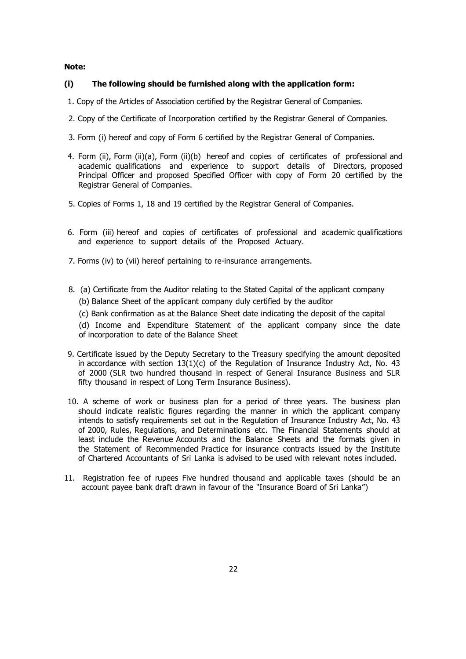#### **Note:**

#### **(i) The following should be furnished along with the application form:**

- 1. Copy of the Articles of Association certified by the Registrar General of Companies.
- 2. Copy of the Certificate of Incorporation certified by the Registrar General of Companies.
- 3. Form (i) hereof and copy of Form 6 certified by the Registrar General of Companies.
- 4. Form (ii), Form (ii)(a), Form (ii)(b) hereof and copies of certificates of professional and academic qualifications and experience to support details of Directors, proposed Principal Officer and proposed Specified Officer with copy of Form 20 certified by the Registrar General of Companies.
- 5. Copies of Forms 1, 18 and 19 certified by the Registrar General of Companies.
- 6. Form (iii) hereof and copies of certificates of professional and academic qualifications and experience to support details of the Proposed Actuary.
- 7. Forms (iv) to (vii) hereof pertaining to re-insurance arrangements.
- 8. (a) Certificate from the Auditor relating to the Stated Capital of the applicant company
	- (b) Balance Sheet of the applicant company duly certified by the auditor
	- (c) Bank confirmation as at the Balance Sheet date indicating the deposit of the capital

(d) Income and Expenditure Statement of the applicant company since the date of incorporation to date of the Balance Sheet

- 9. Certificate issued by the Deputy Secretary to the Treasury specifying the amount deposited in accordance with section  $13(1)(c)$  of the Regulation of Insurance Industry Act, No. 43 of 2000 (SLR two hundred thousand in respect of General Insurance Business and SLR fifty thousand in respect of Long Term Insurance Business).
- 10. A scheme of work or business plan for a period of three years. The business plan should indicate realistic figures regarding the manner in which the applicant company intends to satisfy requirements set out in the Regulation of Insurance Industry Act, No. 43 of 2000, Rules, Regulations, and Determinations etc. The Financial Statements should at least include the Revenue Accounts and the Balance Sheets and the formats given in the Statement of Recommended Practice for insurance contracts issued by the Institute of Chartered Accountants of Sri Lanka is advised to be used with relevant notes included.
- 11. Registration fee of rupees Five hundred thousand and applicable taxes (should be an account payee bank draft drawn in favour of the "Insurance Board of Sri Lanka")